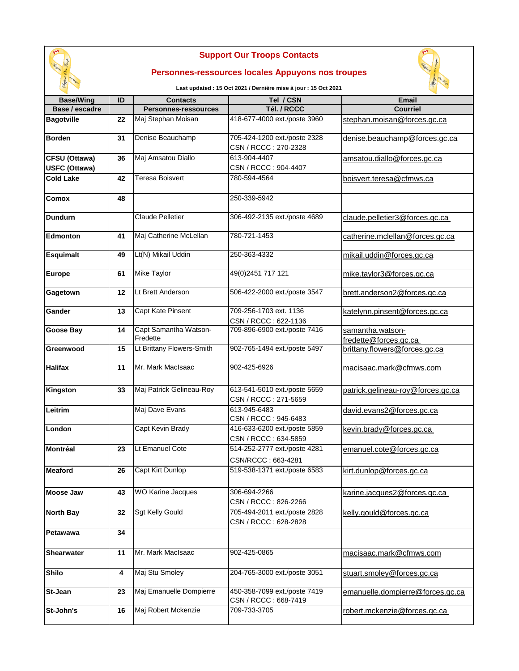

## **Support Our Troops Contacts**

## **Personnes-ressources locales Appuyons nos troupes**

**Last updated : 15 Oct 2021 / Dernière mise à jour : 15 Oct 2021**



| <b>Base/Wing</b>     | ID | <b>Contacts</b>             | Tel / CSN                                            | <b>Email</b>                      |
|----------------------|----|-----------------------------|------------------------------------------------------|-----------------------------------|
| Base / escadre       |    | <b>Personnes-ressources</b> | Tél. / RCCC                                          | <b>Courriel</b>                   |
| <b>Bagotville</b>    | 22 | Maj Stephan Moisan          | 418-677-4000 ext./poste 3960                         | stephan.moisan@forces.gc.ca       |
| <b>Borden</b>        | 31 | Denise Beauchamp            | 705-424-1200 ext./poste 2328<br>CSN / RCCC: 270-2328 | denise.beauchamp@forces.gc.ca     |
| CFSU (Ottawa)        | 36 | Maj Amsatou Diallo          | 613-904-4407                                         | amsatou.diallo@forces.gc.ca       |
| <b>USFC (Ottawa)</b> |    |                             | CSN / RCCC: 904-4407                                 |                                   |
| <b>Cold Lake</b>     | 42 | Teresa Boisvert             | 780-594-4564                                         | boisvert.teresa@cfmws.ca          |
| Comox                | 48 |                             | 250-339-5942                                         |                                   |
| <b>Dundurn</b>       |    | <b>Claude Pelletier</b>     | 306-492-2135 ext./poste 4689                         | claude.pelletier3@forces.gc.ca    |
| <b>Edmonton</b>      | 41 | Maj Catherine McLellan      | 780-721-1453                                         | catherine.mclellan@forces.gc.ca   |
| <b>Esquimalt</b>     | 49 | Lt(N) Mikail Uddin          | 250-363-4332                                         | mikail.uddin@forces.gc.ca         |
| <b>Europe</b>        | 61 | <b>Mike Taylor</b>          | 49(0)2451 717 121                                    | mike.taylor3@forces.gc.ca         |
| Gagetown             | 12 | Lt Brett Anderson           | 506-422-2000 ext./poste 3547                         | brett.anderson2@forces.gc.ca      |
| Gander               | 13 | <b>Capt Kate Pinsent</b>    | 709-256-1703 ext. 1136<br>CSN / RCCC: 622-1136       | katelynn.pinsent@forces.gc.ca     |
| <b>Goose Bay</b>     | 14 | Capt Samantha Watson-       | 709-896-6900 ext./poste 7416                         | samantha.watson-                  |
|                      |    | Fredette                    |                                                      | fredette@forces.gc.ca             |
| Greenwood            | 15 | Lt Brittany Flowers-Smith   | 902-765-1494 ext./poste 5497                         | brittany.flowers@forces.gc.ca     |
| <b>Halifax</b>       | 11 | Mr. Mark MacIsaac           | 902-425-6926                                         | macisaac.mark@cfmws.com           |
| Kingston             | 33 | Maj Patrick Gelineau-Roy    | 613-541-5010 ext./poste 5659<br>CSN / RCCC: 271-5659 | patrick.gelineau-roy@forces.gc.ca |
| Leitrim              |    | Maj Dave Evans              | 613-945-6483<br>CSN / RCCC: 945-6483                 | david.evans2@forces.gc.ca         |
| London               |    | Capt Kevin Brady            | 416-633-6200 ext./poste 5859<br>CSN / RCCC: 634-5859 | kevin.brady@forces.gc.ca          |
| Montréal             | 23 | Lt Emanuel Cote             | 514-252-2777 ext./poste 4281                         | emanuel.cote@forces.gc.ca         |
|                      |    |                             | CSN/RCCC: 663-4281                                   |                                   |
| Meaford              | 26 | <b>Capt Kirt Dunlop</b>     | 519-538-1371 ext./poste 6583                         | kirt.dunlop@forces.gc.ca          |
| <b>Moose Jaw</b>     | 43 | <b>WO Karine Jacques</b>    | 306-694-2266<br>CSN / RCCC: 826-2266                 | karine.jacques2@forces.gc.ca      |
| <b>North Bay</b>     | 32 | <b>Sgt Kelly Gould</b>      | 705-494-2011 ext./poste 2828<br>CSN / RCCC: 628-2828 | kelly.gould@forces.gc.ca          |
| Petawawa             | 34 |                             |                                                      |                                   |
| <b>Shearwater</b>    | 11 | Mr. Mark MacIsaac           | 902-425-0865                                         | macisaac.mark@cfmws.com           |
| <b>Shilo</b>         | 4  | Maj Stu Smoley              | 204-765-3000 ext./poste 3051                         | stuart.smoley@forces.gc.ca        |
| St-Jean              | 23 | Maj Emanuelle Dompierre     | 450-358-7099 ext./poste 7419<br>CSN / RCCC: 668-7419 | emanuelle.dompierre@forces.gc.ca  |
| St-John's            | 16 | Maj Robert Mckenzie         | 709-733-3705                                         | robert.mckenzie@forces.gc.ca      |